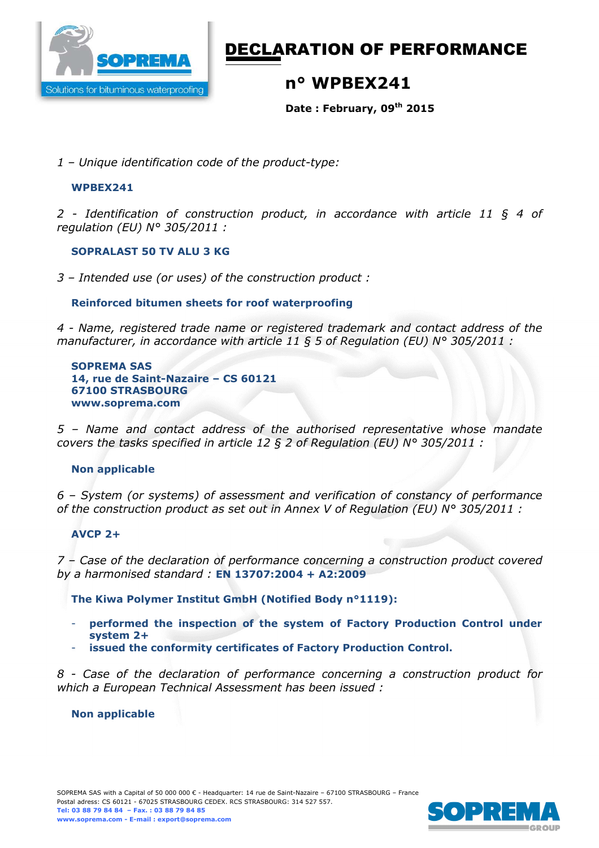

# DECLARATION OF PERFORMANCE

## **n° WPBEX241**

**Date : February, 09th 2015** 

*1 – Unique identification code of the product-type:*

### **WPBEX241**

*2 - Identification of construction product, in accordance with article 11 § 4 of regulation (EU) N° 305/2011 :* 

## **SOPRALAST 50 TV ALU 3 KG**

*3 – Intended use (or uses) of the construction product :* 

## **Reinforced bitumen sheets for roof waterproofing**

*4 - Name, registered trade name or registered trademark and contact address of the manufacturer, in accordance with article 11 § 5 of Regulation (EU) N° 305/2011 :* 

**SOPREMA SAS 14, rue de Saint-Nazaire – CS 60121 67100 STRASBOURG www.soprema.com** 

*5 – Name and contact address of the authorised representative whose mandate covers the tasks specified in article 12 § 2 of Regulation (EU) N° 305/2011 :* 

### **Non applicable**

*6 – System (or systems) of assessment and verification of constancy of performance of the construction product as set out in Annex V of Regulation (EU) N° 305/2011 :* 

### **AVCP 2+**

*7 – Case of the declaration of performance concerning a construction product covered by a harmonised standard :* **EN 13707:2004 + A2:2009**

**The Kiwa Polymer Institut GmbH (Notified Body n°1119):** 

- **performed the inspection of the system of Factory Production Control under system 2+**
- **issued the conformity certificates of Factory Production Control.**

*8 - Case of the declaration of performance concerning a construction product for which a European Technical Assessment has been issued :* 

### **Non applicable**